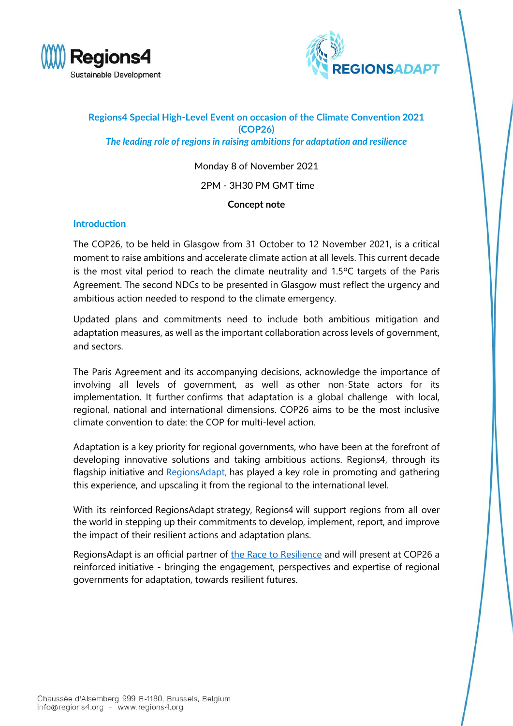



## **Regions4 Special High-Level Event on occasion of the Climate Convention 2021 (COP26)** *The leading role of regions in raising ambitions for adaptation and resilience*

### Monday 8 of November 2021

#### 2PM - 3H30 PM GMT time

#### **Concept note**

#### **Introduction**

The COP26, to be held in Glasgow from 31 October to 12 November 2021, is a critical moment to raise ambitions and accelerate climate action at all levels. This current decade is the most vital period to reach the climate neutrality and 1.5ºC targets of the Paris Agreement. The second NDCs to be presented in Glasgow must reflect the urgency and ambitious action needed to respond to the climate emergency.

Updated plans and commitments need to include both ambitious mitigation and adaptation measures, as well as the important collaboration across levels of government, and sectors.

The Paris Agreement and its accompanying decisions, acknowledge the importance of involving all levels of government, as well as other non-State actors for its implementation. It further confirms that adaptation is a global challenge with local, regional, national and international dimensions. COP26 aims to be the most inclusive climate convention to date: the COP for multi-level action.

Adaptation is a key priority for regional governments, who have been at the forefront of developing innovative solutions and taking ambitious actions. Regions4, through its flagship initiative and [RegionsAdapt,](https://www.regions4.org/project/regions-adapt/) has played a key role in promoting and gathering this experience, and upscaling it from the regional to the international level.

With its reinforced RegionsAdapt strategy, Regions4 will support regions from all over the world in stepping up their commitments to develop, implement, report, and improve the impact of their resilient actions and adaptation plans.

RegionsAdapt is an official partner of [the Race to Resilience](https://www.regions4.org/project/race-to-resilience-campaign/) and will present at COP26 a reinforced initiative - bringing the engagement, perspectives and expertise of regional governments for adaptation, towards resilient futures.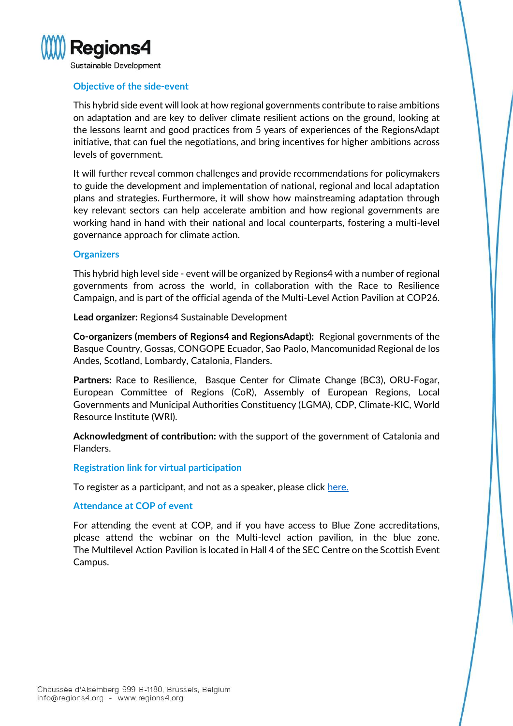

#### **Objective of the side-event**

This hybrid side event will look at how regional governments contribute to raise ambitions on adaptation and are key to deliver climate resilient actions on the ground, looking at the lessons learnt and good practices from 5 years of experiences of the RegionsAdapt initiative, that can fuel the negotiations, and bring incentives for higher ambitions across levels of government.

It will further reveal common challenges and provide recommendations for policymakers to guide the development and implementation of national, regional and local adaptation plans and strategies. Furthermore, it will show how mainstreaming adaptation through key relevant sectors can help accelerate ambition and how regional governments are working hand in hand with their national and local counterparts, fostering a multi-level governance approach for climate action.

#### **Organizers**

This hybrid high level side - event will be organized by Regions4 with a number of regional governments from across the world, in collaboration with the Race to Resilience Campaign, and is part of the official agenda of the Multi-Level Action Pavilion at COP26.

**Lead organizer:** Regions4 Sustainable Development

**Co-organizers (members of Regions4 and RegionsAdapt):** Regional governments of the Basque Country, Gossas, CONGOPE Ecuador, Sao Paolo, Mancomunidad Regional de los Andes, Scotland, Lombardy, Catalonia, Flanders.

**Partners:** Race to Resilience, Basque Center for Climate Change (BC3), ORU-Fogar, European Committee of Regions (CoR), Assembly of European Regions, Local Governments and Municipal Authorities Constituency (LGMA), CDP, Climate-KIC, World Resource Institute (WRI).

**Acknowledgment of contribution:** with the support of the government of Catalonia and Flanders.

#### **Registration link for virtual participation**

To register as a participant, and not as a speaker, please click [here.](https://us06web.zoom.us/webinar/register/WN_wzzTpojrT5KiTOqaEXbKww)

#### **Attendance at COP of event**

For attending the event at COP, and if you have access to Blue Zone accreditations, please attend the webinar on the Multi-level action pavilion, in the blue zone. The Multilevel Action Pavilion is located in Hall 4 of the SEC Centre on the Scottish Event Campus.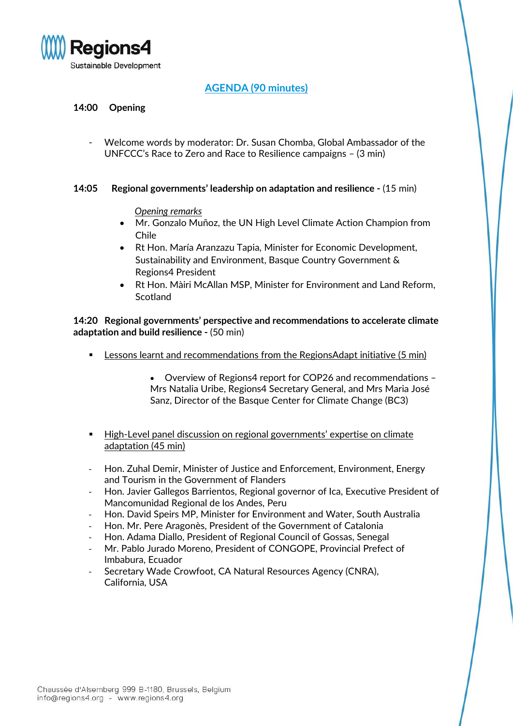

# **AGENDA (90 minutes)**

## **14:00 Opening**

- Welcome words by moderator: Dr. Susan Chomba, Global Ambassador of the UNFCCC's Race to Zero and Race to Resilience campaigns – (3 min)

#### **14:05 Regional governments' leadership on adaptation and resilience -** (15 min)

*Opening remarks*

- Mr. Gonzalo Muñoz, the UN High Level Climate Action Champion from Chile
- Rt Hon. María Aranzazu Tapia, Minister for Economic Development, Sustainability and Environment, Basque Country Government & Regions4 President
- Rt Hon. Màiri McAllan MSP, Minister for Environment and Land Reform, **Scotland**

**14:20 Regional governments' perspective and recommendations to accelerate climate adaptation and build resilience -** (50 min)

Lessons learnt and recommendations from the RegionsAdapt initiative (5 min)

• Overview of Regions4 report for COP26 and recommendations – Mrs Natalia Uribe, Regions4 Secretary General, and Mrs Maria José Sanz, Director of the Basque Center for Climate Change (BC3)

- High-Level panel discussion on regional governments' expertise on climate adaptation (45 min)
- Hon. Zuhal Demir, Minister of Justice and Enforcement, Environment, Energy and Tourism in the Government of Flanders
- Hon. Javier Gallegos Barrientos, Regional governor of Ica, Executive President of Mancomunidad Regional de los Andes, Peru
- Hon. David Speirs MP, Minister for Environment and Water, South Australia
- Hon. Mr. Pere Aragonès, President of the Government of Catalonia
- Hon. Adama Diallo, President of Regional Council of Gossas, Senegal
- Mr. Pablo Jurado Moreno, President of CONGOPE, Provincial Prefect of Imbabura, Ecuador
- Secretary Wade Crowfoot, CA Natural Resources Agency (CNRA), California, USA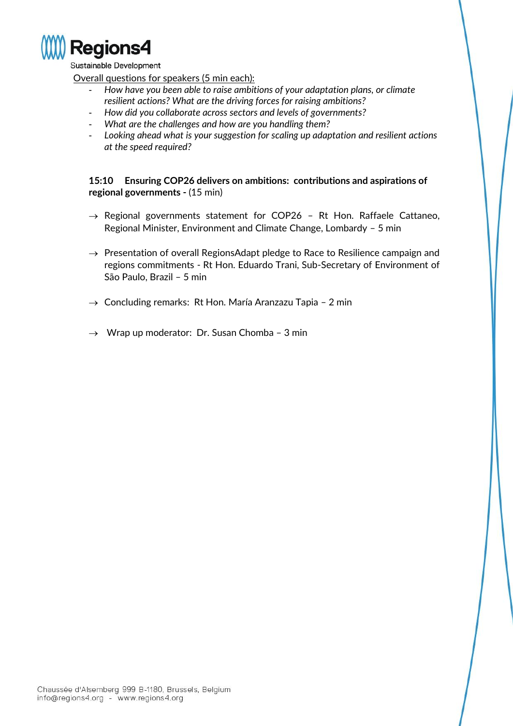

Sustainable Development

Overall questions for speakers (5 min each):

- *How have you been able to raise ambitions of your adaptation plans, or climate resilient actions? What are the driving forces for raising ambitions?*
- *How did you collaborate across sectors and levels of governments?*
- *What are the challenges and how are you handling them?*
- *Looking ahead what is your suggestion for scaling up adaptation and resilient actions at the speed required?*

**15:10 Ensuring COP26 delivers on ambitions: contributions and aspirations of regional governments -** (15 min)

- $\rightarrow$  Regional governments statement for COP26 Rt Hon. Raffaele Cattaneo, Regional Minister, Environment and Climate Change, Lombardy – 5 min
- $\rightarrow$  Presentation of overall RegionsAdapt pledge to Race to Resilience campaign and regions commitments - Rt Hon. Eduardo Trani, Sub-Secretary of Environment of São Paulo, Brazil – 5 min
- $\rightarrow$  Concluding remarks: Rt Hon. María Aranzazu Tapia 2 min
- $\rightarrow$  Wrap up moderator: Dr. Susan Chomba 3 min